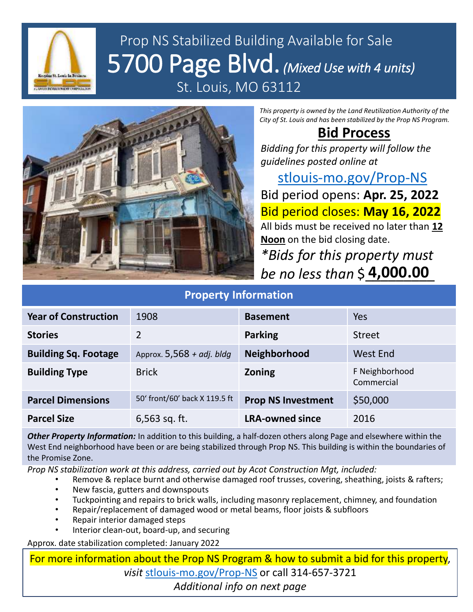

## Prop NS Stabilized Building Available for Sale 5700 Page Blvd. *(Mixed Use with 4 units)* St. Louis, MO 63112



*This property is owned by the Land Reutilization Authority of the City of St. Louis and has been stabilized by the Prop NS Program.*

## **Bid Process**

*Bidding for this property will follow the guidelines posted online at* 

[stlouis-mo.gov/Prop-NS](https://stlouis-mo.gov/Prop-NS) Bid period opens: **Apr. 25, 2022** Bid period closes: **May 16, 2022** All bids must be received no later than **12 Noon** on the bid closing date. *\*Bids for this property must* 

| be no less than $$4,000.00$ |                               |                           |                              |
|-----------------------------|-------------------------------|---------------------------|------------------------------|
| <b>Property Information</b> |                               |                           |                              |
| <b>Year of Construction</b> | 1908                          | <b>Basement</b>           | Yes                          |
| <b>Stories</b>              | $\overline{2}$                | <b>Parking</b>            | <b>Street</b>                |
| <b>Building Sq. Footage</b> | Approx. $5,568 + adj.$ bldg   | Neighborhood              | <b>West End</b>              |
| <b>Building Type</b>        | <b>Brick</b>                  | <b>Zoning</b>             | F Neighborhood<br>Commercial |
| <b>Parcel Dimensions</b>    | 50' front/60' back X 119.5 ft | <b>Prop NS Investment</b> | \$50,000                     |
| <b>Parcel Size</b>          | 6,563 sq. ft.                 | <b>LRA-owned since</b>    | 2016                         |

*Other Property Information:* In addition to this building, a half-dozen others along Page and elsewhere within the West End neighborhood have been or are being stabilized through Prop NS. This building is within the boundaries of the Promise Zone.

*Prop NS stabilization work at this address, carried out by Acot Construction Mgt, included:*

- Remove & replace burnt and otherwise damaged roof trusses, covering, sheathing, joists & rafters;
- New fascia, gutters and downspouts
- Tuckpointing and repairs to brick walls, including masonry replacement, chimney, and foundation
- Repair/replacement of damaged wood or metal beams, floor joists & subfloors
- Repair interior damaged steps
- Interior clean-out, board-up, and securing

Approx. date stabilization completed: January 2022

For more information about the Prop NS Program & how to submit a bid for this property, *visit* [stlouis-mo.gov/Prop-NS](https://stlouis-mo.gov/Prop-NS) or call 314-657-3721 *Additional info on next page*